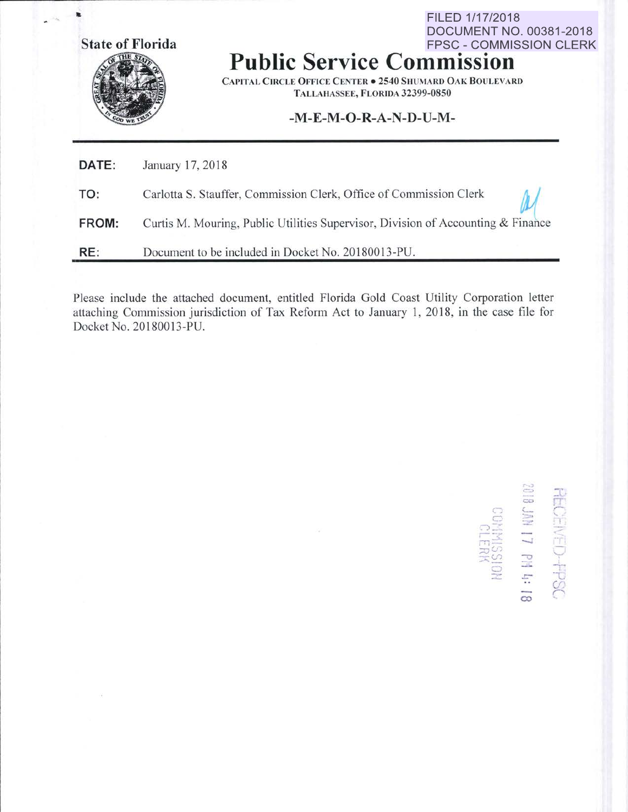State of Florida



# **Public Service Commission**

CAPITAL CIRCLE OFFICE CENTER . 2540 SHUMARD OAK BOULEVARD TALLAHASSEE, FLORIDA 32399-0850

FILED 1/17/2018

**DOCUMENT NO. 00381-2018** 

## .M.E.M.O.R-A-N.D.U-M.

| DATE: | January 17, 2018                                                                 |
|-------|----------------------------------------------------------------------------------|
| TO:   | Carlotta S. Stauffer, Commission Clerk, Office of Commission Clerk               |
| FROM: | Curtis M. Mouring, Public Utilities Supervisor, Division of Accounting & Finance |
| RE:   | Document to be included in Docket No. 20180013-PU.                               |

Please include the attached document, entitled Florida Gold Coast Utility Corporation letter attaching Commission jurisdiction of Tax Reform Act to January 1, 2018, in the case file forDocket No. 20180013-PU.

81:5 MH 17 PH 4:18 **USCH-CENECHESC**